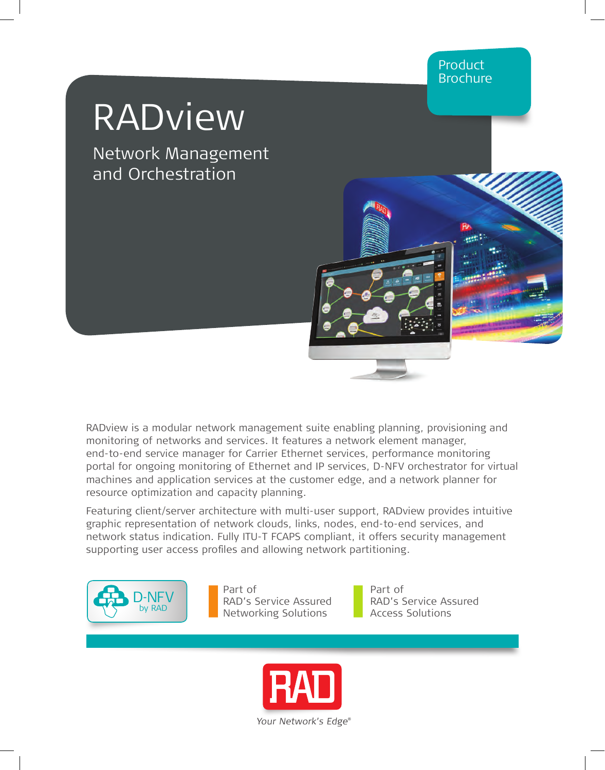# RADview

Network Management and Orchestration



Featuring client/server architecture with multi-user support, RADview provides intuitive graphic representation of network clouds, links, nodes, end-to-end services, and network status indication. Fully ITU-T FCAPS compliant, it offers security management supporting user access profiles and allowing network partitioning.



Part of RAD's Service Assured Networking Solutions

Part of RAD's Service Assured Access Solutions

Product Brochure

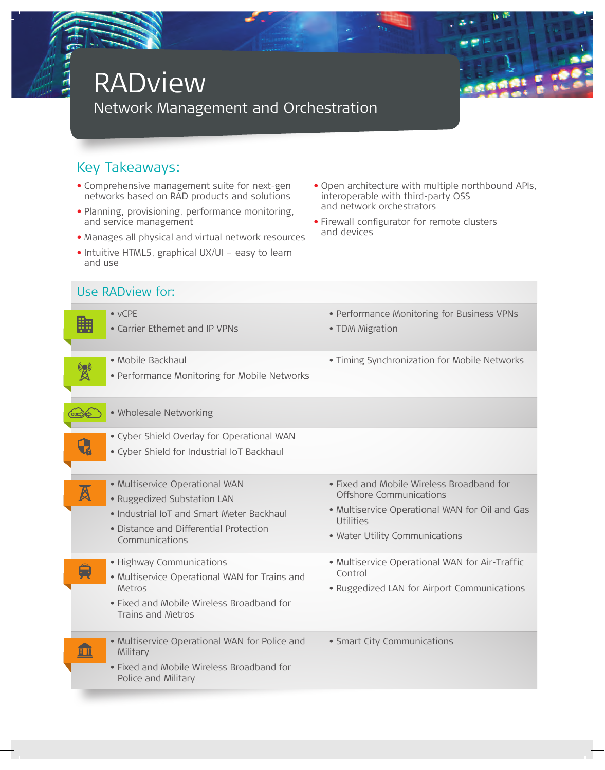## RADview

Network Management and Orchestration



#### Key Takeaways:

Use RADview for:

- **•** Comprehensive management suite for next-gen networks based on RAD products and solutions
- **•** Planning, provisioning, performance monitoring, and service management
- **•** Manages all physical and virtual network resources
- **•** Intuitive HTML5, graphical UX/UI easy to learn and use
- **•** Open architecture with multiple northbound APIs, interoperable with third-party OSS and network orchestrators
- **•** Firewall configurator for remote clusters and devices

|                           | $\bullet$ vCPE<br>• Carrier Ethernet and IP VPNs                                                                                                                       | • Performance Monitoring for Business VPNs<br>• TDM Migration                                                                                                         |
|---------------------------|------------------------------------------------------------------------------------------------------------------------------------------------------------------------|-----------------------------------------------------------------------------------------------------------------------------------------------------------------------|
|                           | • Mobile Backhaul<br>• Performance Monitoring for Mobile Networks                                                                                                      | . Timing Synchronization for Mobile Networks                                                                                                                          |
|                           | · Wholesale Networking                                                                                                                                                 |                                                                                                                                                                       |
|                           | · Cyber Shield Overlay for Operational WAN<br>· Cyber Shield for Industrial IoT Backhaul                                                                               |                                                                                                                                                                       |
| $\boldsymbol{\mathbb{A}}$ | · Multiservice Operational WAN<br>· Ruggedized Substation LAN<br>• Industrial IoT and Smart Meter Backhaul<br>• Distance and Differential Protection<br>Communications | • Fixed and Mobile Wireless Broadband for<br>Offshore Communications<br>• Multiservice Operational WAN for Oil and Gas<br>Utilities<br>• Water Utility Communications |
|                           | · Highway Communications<br>• Multiservice Operational WAN for Trains and<br>Metros<br>• Fixed and Mobile Wireless Broadband for<br>Trains and Metros                  | • Multiservice Operational WAN for Air-Traffic<br>Control<br>• Ruggedized LAN for Airport Communications                                                              |
|                           | • Multiservice Operational WAN for Police and<br>Military<br>• Fixed and Mobile Wireless Broadband for<br>Police and Military                                          | • Smart City Communications                                                                                                                                           |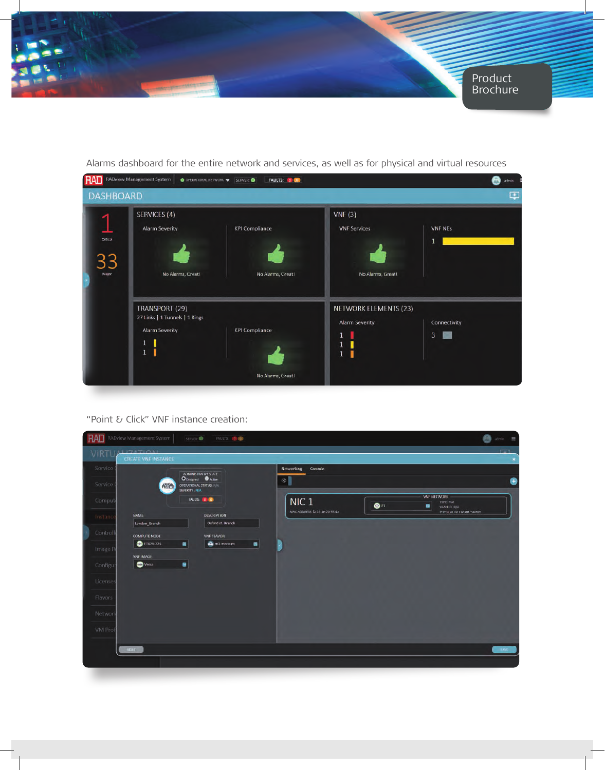

| <b>RAI</b>        | <b>RADview Management System</b>                                                    | FAULTS: (1)<br>O OPERATIONAL NETWORK V SERVER: O |                                                          |                   | admin |
|-------------------|-------------------------------------------------------------------------------------|--------------------------------------------------|----------------------------------------------------------|-------------------|-------|
| <b>DASHBOARD</b>  |                                                                                     |                                                  |                                                          |                   | φ     |
| Critical<br>Major | SERVICES (4)<br><b>Alarm Severity</b><br>No Alarms, Great!                          | <b>KPI Compliance</b><br>No Alarms, Great!       | VNF(3)<br><b>VNF Services</b><br>No Alarms, Great!       | <b>VNF NEs</b>    |       |
|                   | TRANSPORT (29)<br>27 Links   1 Tunnels   1 Rings<br><b>Alarm Severity</b><br>1<br>1 | <b>KPI Compliance</b><br>No Alarms, Great!       | NETWORK ELEMENTS (23)<br><b>Alarm Severity</b><br>ı<br>1 | Connectivity<br>3 |       |

Alarms dashboard for the entire network and services, as well as for physical and virtual resources

#### "Point & Click" VNF instance creation:

|           | <b>RAD</b> RADview Management System                               | <b>FAULTS:</b> (7.00)<br>SERVER:                |                                 |             |                                                             | admin =            |
|-----------|--------------------------------------------------------------------|-------------------------------------------------|---------------------------------|-------------|-------------------------------------------------------------|--------------------|
|           | VIRTUALIZATIONI<br>CREATE VNF INSTANCE                             |                                                 |                                 |             |                                                             | <b>Carlos</b><br>× |
| Service ( |                                                                    | ADMINISTRATIVE STATE                            | Networking<br>Console           |             |                                                             |                    |
| Service   | <b>O</b> Designed <i>O</i> Active<br>OPERATIONAL STATUS: N/A<br>心合 |                                                 | $\circledast$                   |             |                                                             | 0                  |
| Comput    |                                                                    | SEVERITY N/A<br>FAULTS: 103                     | NIC <sub>1</sub>                | $\otimes$ n | <b>VNF NETWORK</b><br><b>TYPE Flat</b><br>۰<br>VLAN ID: N/A |                    |
| Instance  | <b>NAME</b><br>London_Branch                                       | <b>DESCRIPTION</b><br>Oxford st. Branch         | MAC ADDRESS: fa: 16:3e 20:95:4a |             | PHYSICAL NETWORK: snmet                                     |                    |
| Controll  | <b>COMPUTE NODE</b>                                                | <b>VNF FLAVOR</b>                               |                                 |             |                                                             |                    |
| Image R   | <b>C</b> ETX2V-225                                                 | $\blacksquare$<br>$\blacksquare$<br>A m1 medium |                                 |             |                                                             |                    |
|           | <b>VNF IMAGE</b>                                                   |                                                 |                                 |             |                                                             |                    |
| Configur  | <b>O</b> Versa                                                     | $\blacksquare$                                  |                                 |             |                                                             |                    |
| Licenses  |                                                                    |                                                 |                                 |             |                                                             |                    |
| Flavors   |                                                                    |                                                 |                                 |             |                                                             |                    |
| Network   |                                                                    |                                                 |                                 |             |                                                             |                    |
| VM Prof   |                                                                    |                                                 |                                 |             |                                                             |                    |
|           |                                                                    |                                                 |                                 |             |                                                             |                    |
|           | <b>INDEX</b>                                                       |                                                 |                                 |             |                                                             | SAVE               |
|           |                                                                    |                                                 |                                 |             |                                                             |                    |